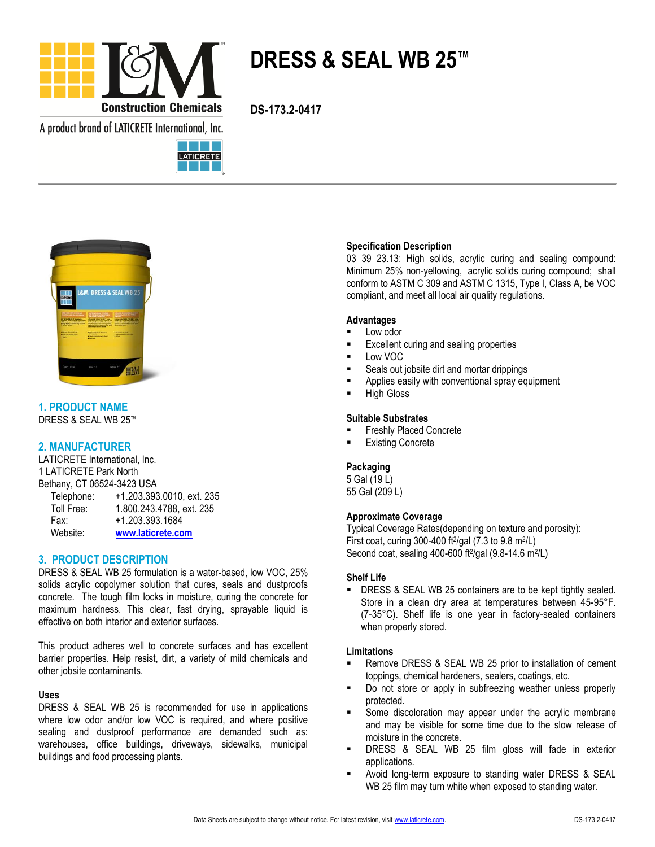

# **DRESS & SEAL WB 25™**

A product brand of LATICRETE International, Inc.





# **1. PRODUCT NAME**

DRESS & SEAL WB 25™

# **2. MANUFACTURER**

LATICRETE International, Inc. 1 LATICRETE Park North Bethany, CT 06524-3423 USA Telephone: +1.203.393.0010, ext. 235 Toll Free: 1.800.243.4788, ext. 235 Fax: +1.203.393.1684 Website: **[www.laticrete.com](http://www.laticrete.com/)**

**3. PRODUCT DESCRIPTION**

DRESS & SEAL WB 25 formulation is a water-based, low VOC, 25% solids acrylic copolymer solution that cures, seals and dustproofs concrete. The tough film locks in moisture, curing the concrete for maximum hardness. This clear, fast drying, sprayable liquid is effective on both interior and exterior surfaces.

This product adheres well to concrete surfaces and has excellent barrier properties. Help resist, dirt, a variety of mild chemicals and other jobsite contaminants.

# **Uses**

DRESS & SEAL WB 25 is recommended for use in applications where low odor and/or low VOC is required, and where positive sealing and dustproof performance are demanded such as: warehouses, office buildings, driveways, sidewalks, municipal buildings and food processing plants.

# **Specification Description**

03 39 23.13: High solids, acrylic curing and sealing compound: Minimum 25% non-yellowing, acrylic solids curing compound; shall conform to ASTM C 309 and ASTM C 1315, Type I, Class A, be VOC compliant, and meet all local air quality regulations.

# **Advantages**

- Low odor
- Excellent curing and sealing properties
- Low VOC
- Seals out jobsite dirt and mortar drippings
- Applies easily with conventional spray equipment
- High Gloss

# **Suitable Substrates**

- Freshly Placed Concrete
- Existing Concrete

# **Packaging**

5 Gal (19 L) 55 Gal (209 L)

# **Approximate Coverage**

Typical Coverage Rates(depending on texture and porosity): First coat, curing 300-400 ft $^{2}$ /gal (7.3 to 9.8 m $^{2}$ /L) Second coat, sealing 400-600 ft<sup>2</sup>/gal (9.8-14.6 m<sup>2</sup>/L)

# **Shelf Life**

■ DRESS & SEAL WB 25 containers are to be kept tightly sealed. Store in a clean dry area at temperatures between 45-95°F. (7-35°C). Shelf life is one year in factory-sealed containers when properly stored.

# **Limitations**

- Remove DRESS & SEAL WB 25 prior to installation of cement toppings, chemical hardeners, sealers, coatings, etc.
- Do not store or apply in subfreezing weather unless properly protected.
- Some discoloration may appear under the acrylic membrane and may be visible for some time due to the slow release of moisture in the concrete.
- DRESS & SEAL WB 25 film gloss will fade in exterior applications.
- Avoid long-term exposure to standing water DRESS & SEAL WB 25 film may turn white when exposed to standing water.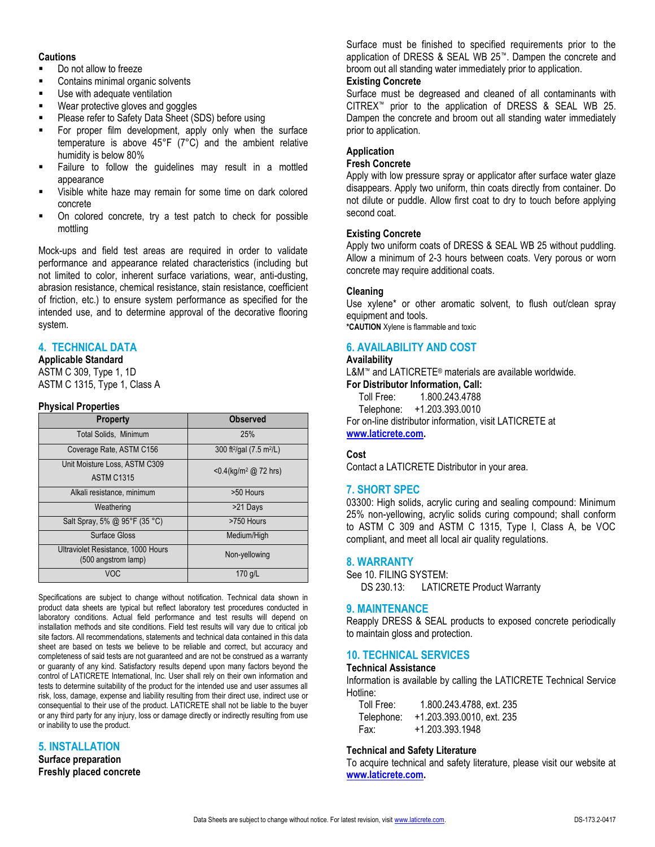#### **Cautions**

- Do not allow to freeze
- **Contains minimal organic solvents**
- Use with adequate ventilation
- Wear protective gloves and goggles
- Please refer to Safety Data Sheet (SDS) before using
- For proper film development, apply only when the surface temperature is above 45°F (7°C) and the ambient relative humidity is below 80%
- Failure to follow the guidelines may result in a mottled appearance
- Visible white haze may remain for some time on dark colored concrete
- On colored concrete, try a test patch to check for possible mottling

Mock-ups and field test areas are required in order to validate performance and appearance related characteristics (including but not limited to color, inherent surface variations, wear, anti-dusting, abrasion resistance, chemical resistance, stain resistance, coefficient of friction, etc.) to ensure system performance as specified for the intended use, and to determine approval of the decorative flooring system.

# **4. TECHNICAL DATA**

#### **Applicable Standard**

ASTM C 309, Type 1, 1D ASTM C 1315, Type 1, Class A

# **Physical Properties**

| <b>Property</b>                                           | <b>Observed</b>                                  |
|-----------------------------------------------------------|--------------------------------------------------|
| Total Solids, Minimum                                     | 25%                                              |
| Coverage Rate, ASTM C156                                  | 300 ft <sup>2</sup> /gal (7.5 m <sup>2</sup> /L) |
| Unit Moisture Loss, ASTM C309<br><b>ASTM C1315</b>        | <0.4(kg/m <sup>2</sup> @ 72 hrs)                 |
| Alkali resistance, minimum                                | >50 Hours                                        |
| Weathering                                                | >21 Days                                         |
| Salt Spray, 5% @ 95°F (35 °C)                             | >750 Hours                                       |
| Surface Gloss                                             | Medium/High                                      |
| Ultraviolet Resistance, 1000 Hours<br>(500 angstrom lamp) | Non-yellowing                                    |
| <b>VOC</b>                                                | $170$ g/L                                        |

Specifications are subject to change without notification. Technical data shown in product data sheets are typical but reflect laboratory test procedures conducted in laboratory conditions. Actual field performance and test results will depend on installation methods and site conditions. Field test results will vary due to critical job site factors. All recommendations, statements and technical data contained in this data sheet are based on tests we believe to be reliable and correct, but accuracy and completeness of said tests are not guaranteed and are not be construed as a warranty or guaranty of any kind. Satisfactory results depend upon many factors beyond the control of LATICRETE International, Inc. User shall rely on their own information and tests to determine suitability of the product for the intended use and user assumes all risk, loss, damage, expense and liability resulting from their direct use, indirect use or consequential to their use of the product. LATICRETE shall not be liable to the buyer or any third party for any injury, loss or damage directly or indirectly resulting from use or inability to use the product.

# **5. INSTALLATION**

**Surface preparation Freshly placed concrete**  Surface must be finished to specified requirements prior to the application of DRESS & SEAL WB 25™. Dampen the concrete and broom out all standing water immediately prior to application.

#### **Existing Concrete**

Surface must be degreased and cleaned of all contaminants with CITREX™ prior to the application of DRESS & SEAL WB 25. Dampen the concrete and broom out all standing water immediately prior to application.

#### **Application**

#### **Fresh Concrete**

Apply with low pressure spray or applicator after surface water glaze disappears. Apply two uniform, thin coats directly from container. Do not dilute or puddle. Allow first coat to dry to touch before applying second coat.

#### **Existing Concrete**

Apply two uniform coats of DRESS & SEAL WB 25 without puddling. Allow a minimum of 2-3 hours between coats. Very porous or worn concrete may require additional coats.

#### **Cleaning**

Use xylene\* or other aromatic solvent, to flush out/clean spray equipment and tools.

# **\*CAUTION** Xylene is flammable and toxic

#### **6. AVAILABILITY AND COST**

# **Availability**

L&M™ and LATICRETE® materials are available worldwide.

**For Distributor Information, Call:**  Toll Free: 1.800.243.4788 Telephone: +1.203.393.0010

For on-line distributor information, visit LATICRETE at **[www.laticrete.com.](http://www.laticrete.com/)** 

# **Cost**

Contact a LATICRETE Distributor in your area.

# **7. SHORT SPEC**

03300: High solids, acrylic curing and sealing compound: Minimum 25% non-yellowing, acrylic solids curing compound; shall conform to ASTM C 309 and ASTM C 1315, Type I, Class A, be VOC compliant, and meet all local air quality regulations.

#### **8. WARRANTY**

See 10. FILING SYSTEM: DS 230.13: LATICRETE Product Warranty

#### **9. MAINTENANCE**

Reapply DRESS & SEAL products to exposed concrete periodically to maintain gloss and protection.

# **10. TECHNICAL SERVICES**

#### **Technical Assistance**

Information is available by calling the LATICRETE Technical Service Hotline:

| Toll Free: | 1.800.243.4788, ext. 235  |
|------------|---------------------------|
| Telephone: | +1.203.393.0010, ext. 235 |
| Fax:       | +1.203.393.1948           |

#### **Technical and Safety Literature**

To acquire technical and safety literature, please visit our website at **[www.laticrete.com.](http://www.laticrete.com/)**